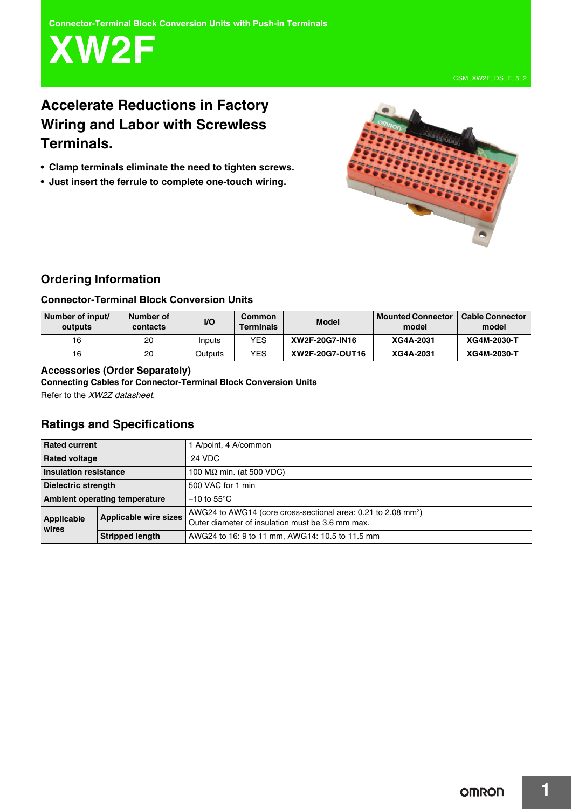**Connector-Terminal Block Conversion Units with Push-in Terminals**

# **XW2F**

## **Accelerate Reductions in Factory Wiring and Labor with Screwless Terminals.**

- **Clamp terminals eliminate the need to tighten screws.**
- **Just insert the ferrule to complete one-touch wiring.**



## **Ordering Information**

#### **Connector-Terminal Block Conversion Units**

| Number of input/<br>outputs | Number of<br>contacts | I/O     | <b>Common</b><br><b>Terminals</b> | <b>Model</b>    | <b>Mounted Connector</b><br>model | <b>Cable Connector</b><br>model |
|-----------------------------|-----------------------|---------|-----------------------------------|-----------------|-----------------------------------|---------------------------------|
| 16                          | 20                    | Inputs  | YES.                              | XW2F-20G7-IN16  | XG4A-2031                         | XG4M-2030-T                     |
| 16                          | 20                    | Outputs | YES.                              | XW2F-20G7-OUT16 | XG4A-2031                         | XG4M-2030-T                     |

## **Accessories (Order Separately)**

**Connecting Cables for Connector-Terminal Block Conversion Units** Refer to the *XW2Z datasheet*.

## **Ratings and Specifications**

| <b>Rated current</b>         |                               | A/point, 4 A/common                                                                                                               |  |  |  |
|------------------------------|-------------------------------|-----------------------------------------------------------------------------------------------------------------------------------|--|--|--|
| <b>Rated voltage</b>         |                               | 24 VDC                                                                                                                            |  |  |  |
| <b>Insulation resistance</b> |                               | 100 $M\Omega$ min. (at 500 VDC)                                                                                                   |  |  |  |
| Dielectric strength          |                               | 500 VAC for 1 min                                                                                                                 |  |  |  |
|                              | Ambient operating temperature | $-10$ to 55 $\degree$ C                                                                                                           |  |  |  |
| Applicable<br>wires          | Applicable wire sizes         | AWG24 to AWG14 (core cross-sectional area: $0.21$ to $2.08$ mm <sup>2</sup> )<br>Outer diameter of insulation must be 3.6 mm max. |  |  |  |
|                              | <b>Stripped length</b>        | AWG24 to 16: 9 to 11 mm, AWG14: 10.5 to 11.5 mm                                                                                   |  |  |  |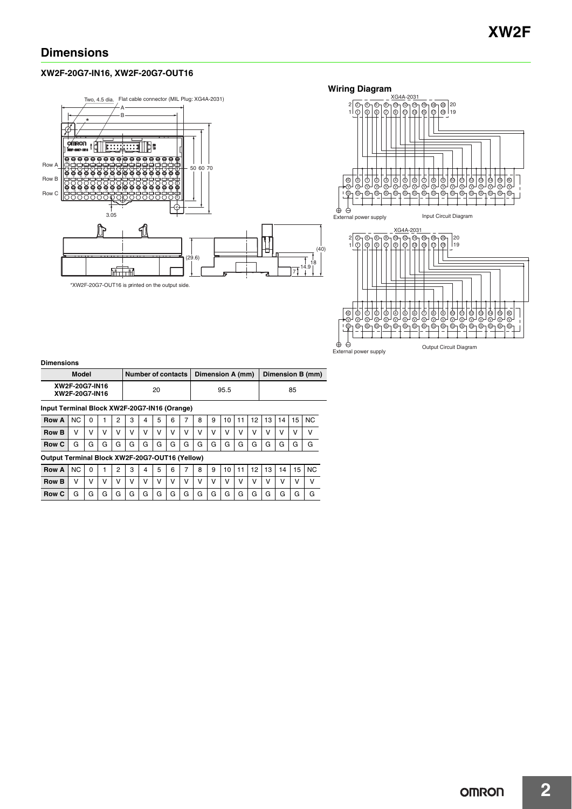## **Dimensions**

#### **XW2F-20G7-IN16, XW2F-20G7-OUT16**





0 1 2 3 4 5 6 7 8 9 10 11 12 13 14 15 NC NC V G V G V G V G V G V G V G V G V G V G V G V G V G V G V G

 $\perp$ 

Output Circuit Diagram

⊣

. . . . .  $\overline{\phantom{a}}$ 

 $\overrightarrow{\oplus}$   $\overrightarrow{\ominus}$ <br>External power supply

 $\overline{\otimes}$ G V G  $\frac{1}{9}$ G

**Dimensions**

| -----------                                  |                    |                  |                  |  |  |  |  |  |  |
|----------------------------------------------|--------------------|------------------|------------------|--|--|--|--|--|--|
| Model                                        | Number of contacts | Dimension A (mm) | Dimension B (mm) |  |  |  |  |  |  |
| XW2F-20G7-IN16<br>XW2F-20G7-IN16             | 20                 | 95.5             | 85               |  |  |  |  |  |  |
| Input Terminal Block XW2F-20G7-IN16 (Orange) |                    |                  |                  |  |  |  |  |  |  |

| $\frac{1}{2}$ |   |          |   |                |     |                |        |              |                |              |              |              |              |              |              |              |   |                |
|---------------|---|----------|---|----------------|-----|----------------|--------|--------------|----------------|--------------|--------------|--------------|--------------|--------------|--------------|--------------|---|----------------|
| Row A NC      |   | $\Omega$ |   | $\overline{2}$ | . 3 | $\overline{4}$ | 5      | 6            | $\overline{7}$ | . 8 '        | .9           | 10           | 111          |              |              |              |   | 12 13 14 15 NC |
| <b>Row B</b>  |   |          |   |                | V   | $\mathsf{V}$   | $\vee$ | $\mathsf{V}$ | $\mathsf{V}$   | $\mathsf{V}$ | $\mathsf{V}$ | $\mathsf{V}$ | $\mathsf{V}$ | $\mathsf{V}$ | $\mathsf{v}$ | $\mathbf{V}$ |   |                |
| Row C         | G | G        | G | G              | G   | G              |        | GG           | G              |              | GG           | G            | G            | $G \mid$     | G            | G            | G |                |

**Output Terminal Block XW2F-20G7-OUT16 (Yellow)**

| <b>Row A   NC</b> |   |   |   | C | ≏<br>ບ       | 4       | 5 | 6 |   | 8          | 9            | 10 <sup>2</sup><br>v |   |   | 12 | 14 | 15 <sub>1</sub> | <b>NC</b> |
|-------------------|---|---|---|---|--------------|---------|---|---|---|------------|--------------|----------------------|---|---|----|----|-----------------|-----------|
| <b>Row B</b>      | v |   |   |   | $\mathsf{v}$ | $\cdot$ |   |   |   | $\sqrt{ }$ | $\mathbf{v}$ |                      |   |   |    |    |                 |           |
| Row C             | G | G | G | G | G            | G       | G | G | G | G          | G            | G                    | G | G | G  | G  | G               | G         |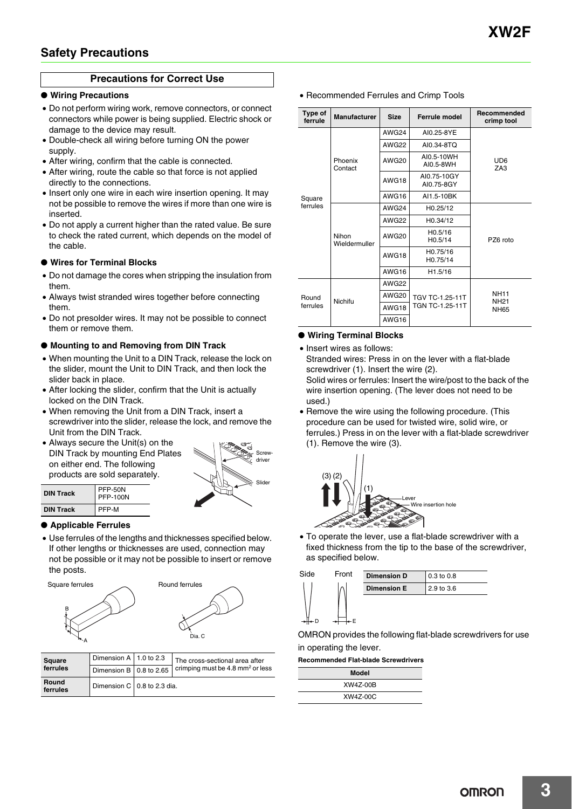### **Precautions for Correct Use**

#### ● **Wiring Precautions**

- Do not perform wiring work, remove connectors, or connect connectors while power is being supplied. Electric shock or damage to the device may result.
- Double-check all wiring before turning ON the power supply.
- After wiring, confirm that the cable is connected.
- After wiring, route the cable so that force is not applied directly to the connections.
- Insert only one wire in each wire insertion opening. It may not be possible to remove the wires if more than one wire is inserted.
- Do not apply a current higher than the rated value. Be sure to check the rated current, which depends on the model of the cable.

#### ● **Wires for Terminal Blocks**

- Do not damage the cores when stripping the insulation from them.
- Always twist stranded wires together before connecting them.
- Do not presolder wires. It may not be possible to connect them or remove them.

#### ● **Mounting to and Removing from DIN Track**

- When mounting the Unit to a DIN Track, release the lock on the slider, mount the Unit to DIN Track, and then lock the slider back in place.
- After locking the slider, confirm that the Unit is actually locked on the DIN Track.
- When removing the Unit from a DIN Track, insert a screwdriver into the slider, release the lock, and remove the Unit from the DIN Track.
- Always secure the Unit(s) on the DIN Track by mounting End Plates on either end. The following products are sold separately.



| <b>DIN Track</b> | PFP-50N<br>PFP-100N |
|------------------|---------------------|
| <b>DIN Track</b> | <b>PFP-M</b>        |

#### ● **Applicable Ferrules**

• Use ferrules of the lengths and thicknesses specified below. If other lengths or thicknesses are used, connection may not be possible or it may not be possible to insert or remove the posts.



| <b>Square</b>     | Dimension A $\vert$ 1.0 to 2.3 | The cross-sectional area after               |  |  |  |
|-------------------|--------------------------------|----------------------------------------------|--|--|--|
| ferrules          | Dimension B   0.8 to 2.65      | crimping must be 4.8 mm <sup>2</sup> or less |  |  |  |
| Round<br>ferrules | Dimension C   0.8 to 2.3 dia.  |                                              |  |  |  |

• Recommended Ferrules and Crimp Tools

| Type of<br>ferrule | <b>Manufacturer</b>    | <b>Size</b>                                             | <b>Ferrule model</b>      | Recommended<br>crimp tool  |  |
|--------------------|------------------------|---------------------------------------------------------|---------------------------|----------------------------|--|
|                    |                        | AWG24                                                   | AI0.25-8YE                |                            |  |
|                    |                        | AWG22                                                   | AI0.34-8TO                |                            |  |
| Square<br>ferrules | Phoenix<br>Contact     | AWG <sub>20</sub>                                       | AI0.5-10WH<br>AI0.5-8WH   | UD <sub>6</sub><br>ZA3     |  |
|                    |                        | AWG18                                                   | AI0.75-10GY<br>AI0.75-8GY |                            |  |
|                    |                        | AWG16                                                   | AI1.5-10BK                |                            |  |
|                    | Nihon<br>Wieldermuller | AWG24                                                   | H <sub>0.25</sub> /12     |                            |  |
|                    |                        | AWG22                                                   | H <sub>0.34</sub> /12     |                            |  |
|                    |                        | AWG20                                                   | H0.5/16<br>H0.5/14        | PZ6 roto                   |  |
|                    |                        | H <sub>0.75</sub> /16<br>AWG18<br>H <sub>0.75</sub> /14 |                           |                            |  |
|                    |                        | AWG16                                                   | H1.5/16                   |                            |  |
|                    |                        | AWG22                                                   |                           |                            |  |
| Round<br>ferrules  | Nichifu                | AWG20                                                   | TGV TC-1.25-11T           | <b>NH11</b><br><b>NH21</b> |  |
|                    |                        | AWG18                                                   | TGN TC-1.25-11T           | <b>NH65</b>                |  |
|                    |                        | AWG16                                                   |                           |                            |  |

#### ● **Wiring Terminal Blocks**

• Insert wires as follows: Stranded wires: Press in on the lever with a flat-blade screwdriver (1). Insert the wire (2). Solid wires or ferrules: Insert the wire/post to the back of the

wire insertion opening. (The lever does not need to be used.)

• Remove the wire using the following procedure. (This procedure can be used for twisted wire, solid wire, or ferrules.) Press in on the lever with a flat-blade screwdriver (1). Remove the wire (3).



• To operate the lever, use a flat-blade screwdriver with a fixed thickness from the tip to the base of the screwdriver, as specified below.



OMRON provides the following flat-blade screwdrivers for use in operating the lever.

**Recommended Flat-blade Screwdrivers**

| <b>Model</b> |  |
|--------------|--|
| XW4Z-00B     |  |
| XW4Z-00C     |  |